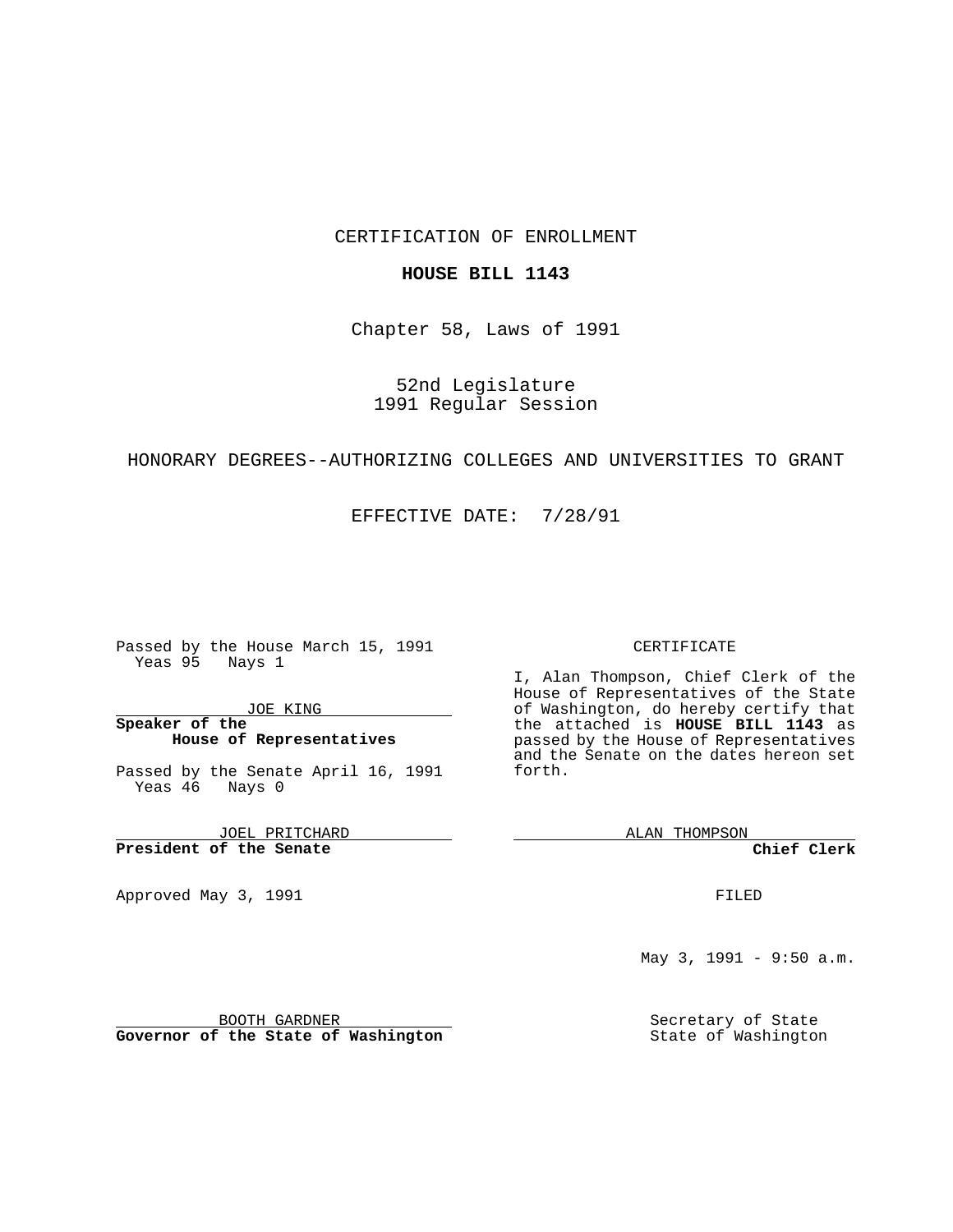### CERTIFICATION OF ENROLLMENT

#### **HOUSE BILL 1143**

Chapter 58, Laws of 1991

52nd Legislature 1991 Regular Session

### HONORARY DEGREES--AUTHORIZING COLLEGES AND UNIVERSITIES TO GRANT

EFFECTIVE DATE: 7/28/91

Passed by the House March 15, 1991 Yeas 95 Nays 1

JOE KING

### **Speaker of the House of Representatives**

Passed by the Senate April 16, 1991 Yeas 46 Nays 0

JOEL PRITCHARD **President of the Senate**

Approved May 3, 1991

#### CERTIFICATE

I, Alan Thompson, Chief Clerk of the House of Representatives of the State of Washington, do hereby certify that the attached is **HOUSE BILL 1143** as passed by the House of Representatives and the Senate on the dates hereon set forth.

ALAN THOMPSON

**Chief Clerk**

FILED

May 3, 1991 - 9:50 a.m.

Secretary of State State of Washington

BOOTH GARDNER

**Governor of the State of Washington**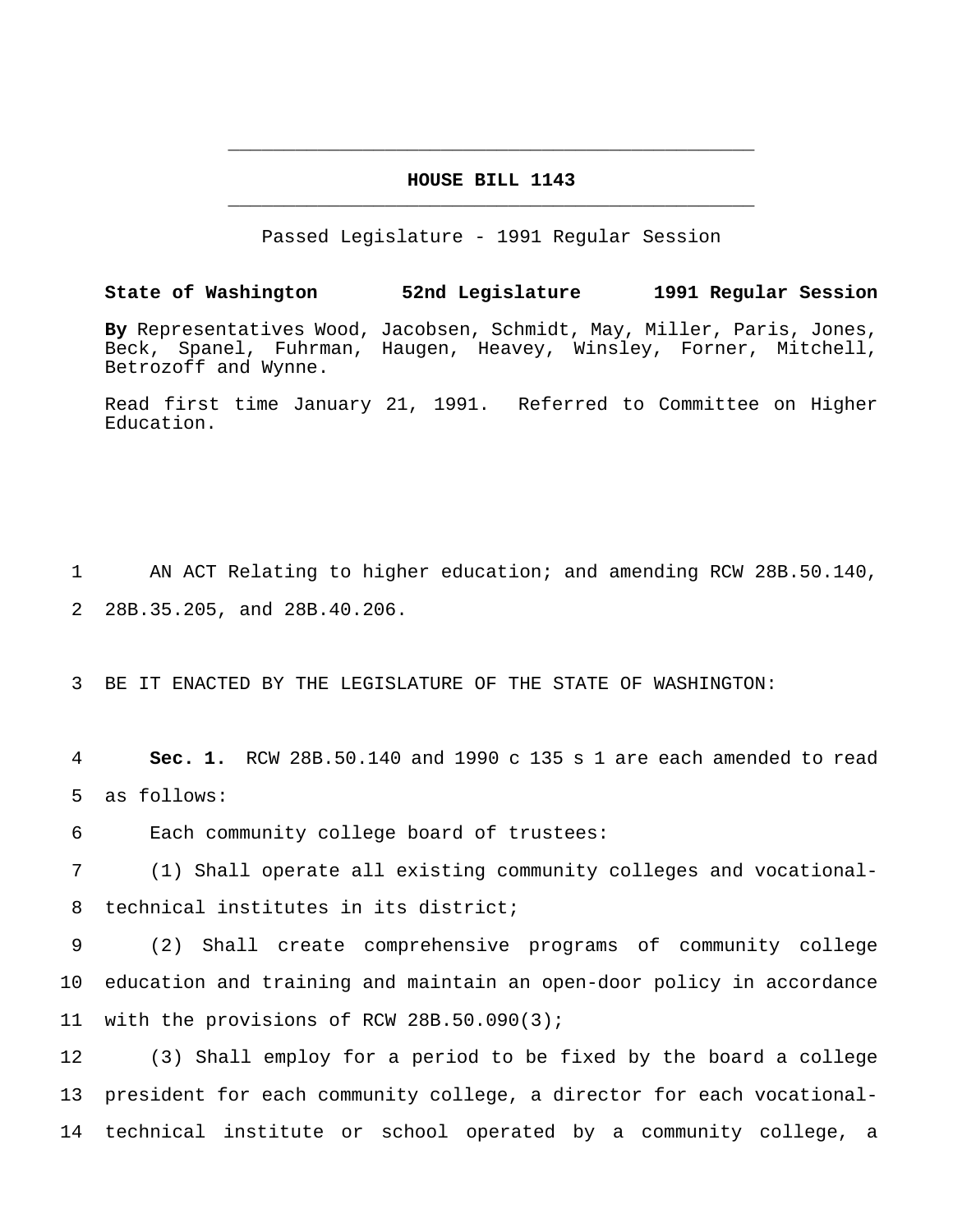# **HOUSE BILL 1143** \_\_\_\_\_\_\_\_\_\_\_\_\_\_\_\_\_\_\_\_\_\_\_\_\_\_\_\_\_\_\_\_\_\_\_\_\_\_\_\_\_\_\_\_\_\_\_

\_\_\_\_\_\_\_\_\_\_\_\_\_\_\_\_\_\_\_\_\_\_\_\_\_\_\_\_\_\_\_\_\_\_\_\_\_\_\_\_\_\_\_\_\_\_\_

Passed Legislature - 1991 Regular Session

**State of Washington 52nd Legislature 1991 Regular Session**

**By** Representatives Wood, Jacobsen, Schmidt, May, Miller, Paris, Jones, Beck, Spanel, Fuhrman, Haugen, Heavey, Winsley, Forner, Mitchell, Betrozoff and Wynne.

Read first time January 21, 1991. Referred to Committee on Higher Education.

1 AN ACT Relating to higher education; and amending RCW 28B.50.140, 2 28B.35.205, and 28B.40.206.

3 BE IT ENACTED BY THE LEGISLATURE OF THE STATE OF WASHINGTON:

4 **Sec. 1.** RCW 28B.50.140 and 1990 c 135 s 1 are each amended to read 5 as follows:

6 Each community college board of trustees:

7 (1) Shall operate all existing community colleges and vocational-8 technical institutes in its district;

9 (2) Shall create comprehensive programs of community college 10 education and training and maintain an open-door policy in accordance 11 with the provisions of RCW 28B.50.090(3);

12 (3) Shall employ for a period to be fixed by the board a college 13 president for each community college, a director for each vocational-14 technical institute or school operated by a community college, a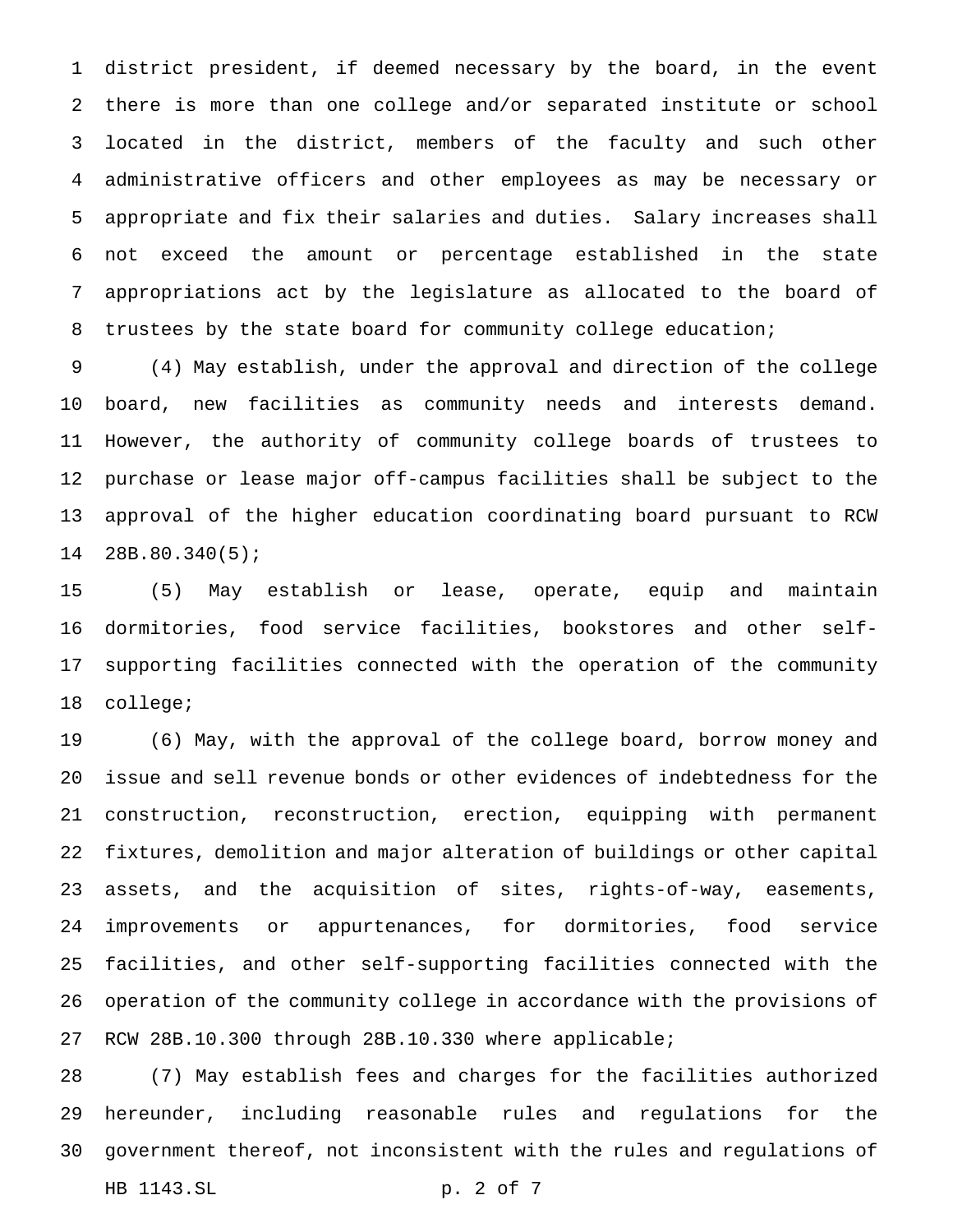district president, if deemed necessary by the board, in the event there is more than one college and/or separated institute or school located in the district, members of the faculty and such other administrative officers and other employees as may be necessary or appropriate and fix their salaries and duties. Salary increases shall not exceed the amount or percentage established in the state appropriations act by the legislature as allocated to the board of trustees by the state board for community college education;

 (4) May establish, under the approval and direction of the college board, new facilities as community needs and interests demand. However, the authority of community college boards of trustees to purchase or lease major off-campus facilities shall be subject to the approval of the higher education coordinating board pursuant to RCW 28B.80.340(5);

 (5) May establish or lease, operate, equip and maintain dormitories, food service facilities, bookstores and other self- supporting facilities connected with the operation of the community college;

 (6) May, with the approval of the college board, borrow money and issue and sell revenue bonds or other evidences of indebtedness for the construction, reconstruction, erection, equipping with permanent fixtures, demolition and major alteration of buildings or other capital assets, and the acquisition of sites, rights-of-way, easements, improvements or appurtenances, for dormitories, food service facilities, and other self-supporting facilities connected with the operation of the community college in accordance with the provisions of RCW 28B.10.300 through 28B.10.330 where applicable;

 (7) May establish fees and charges for the facilities authorized hereunder, including reasonable rules and regulations for the government thereof, not inconsistent with the rules and regulations of HB 1143.SL p. 2 of 7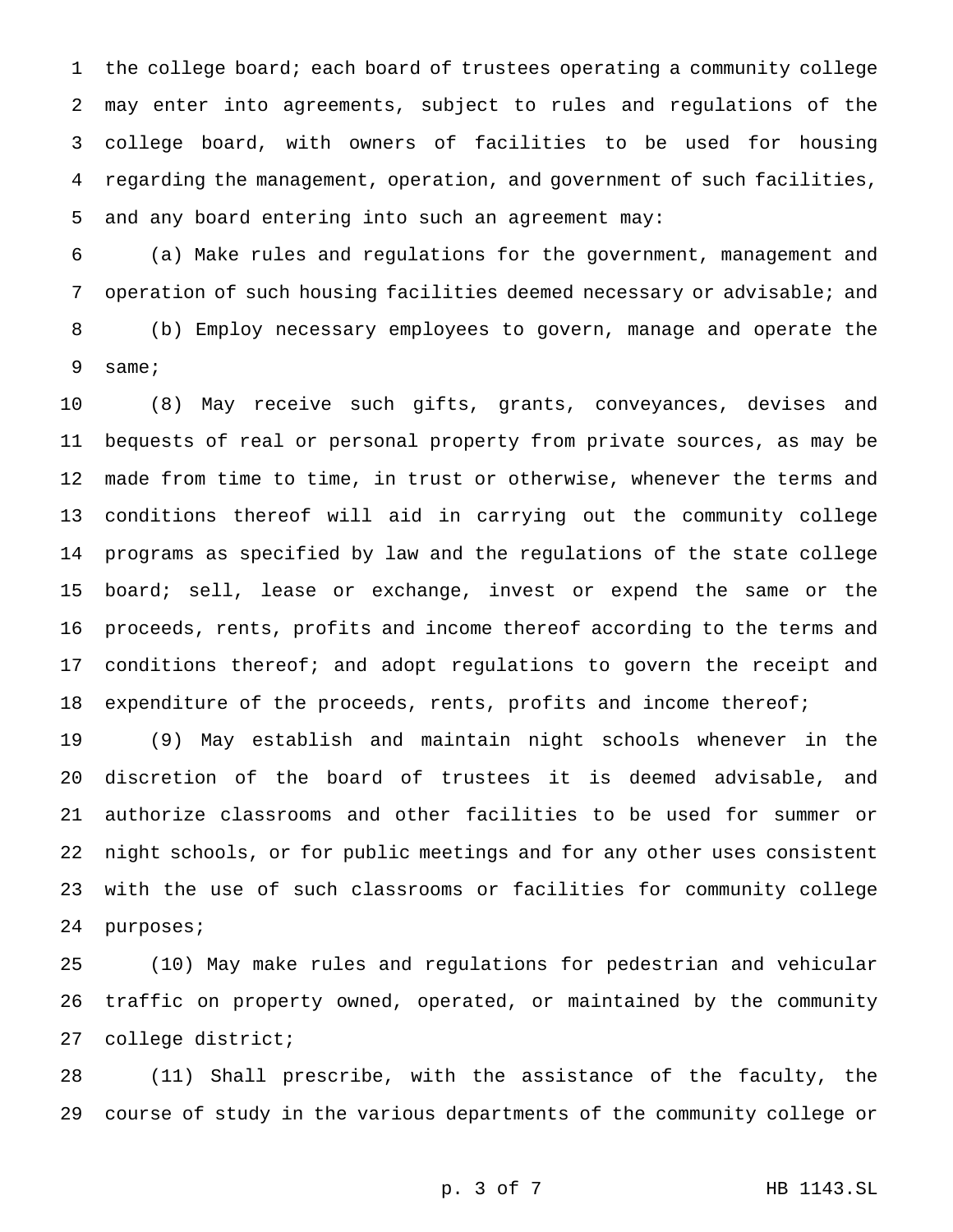the college board; each board of trustees operating a community college may enter into agreements, subject to rules and regulations of the college board, with owners of facilities to be used for housing regarding the management, operation, and government of such facilities, and any board entering into such an agreement may:

 (a) Make rules and regulations for the government, management and operation of such housing facilities deemed necessary or advisable; and (b) Employ necessary employees to govern, manage and operate the same;

 (8) May receive such gifts, grants, conveyances, devises and bequests of real or personal property from private sources, as may be made from time to time, in trust or otherwise, whenever the terms and conditions thereof will aid in carrying out the community college programs as specified by law and the regulations of the state college 15 board; sell, lease or exchange, invest or expend the same or the proceeds, rents, profits and income thereof according to the terms and conditions thereof; and adopt regulations to govern the receipt and 18 expenditure of the proceeds, rents, profits and income thereof;

 (9) May establish and maintain night schools whenever in the discretion of the board of trustees it is deemed advisable, and authorize classrooms and other facilities to be used for summer or night schools, or for public meetings and for any other uses consistent with the use of such classrooms or facilities for community college purposes;

 (10) May make rules and regulations for pedestrian and vehicular traffic on property owned, operated, or maintained by the community college district;

 (11) Shall prescribe, with the assistance of the faculty, the course of study in the various departments of the community college or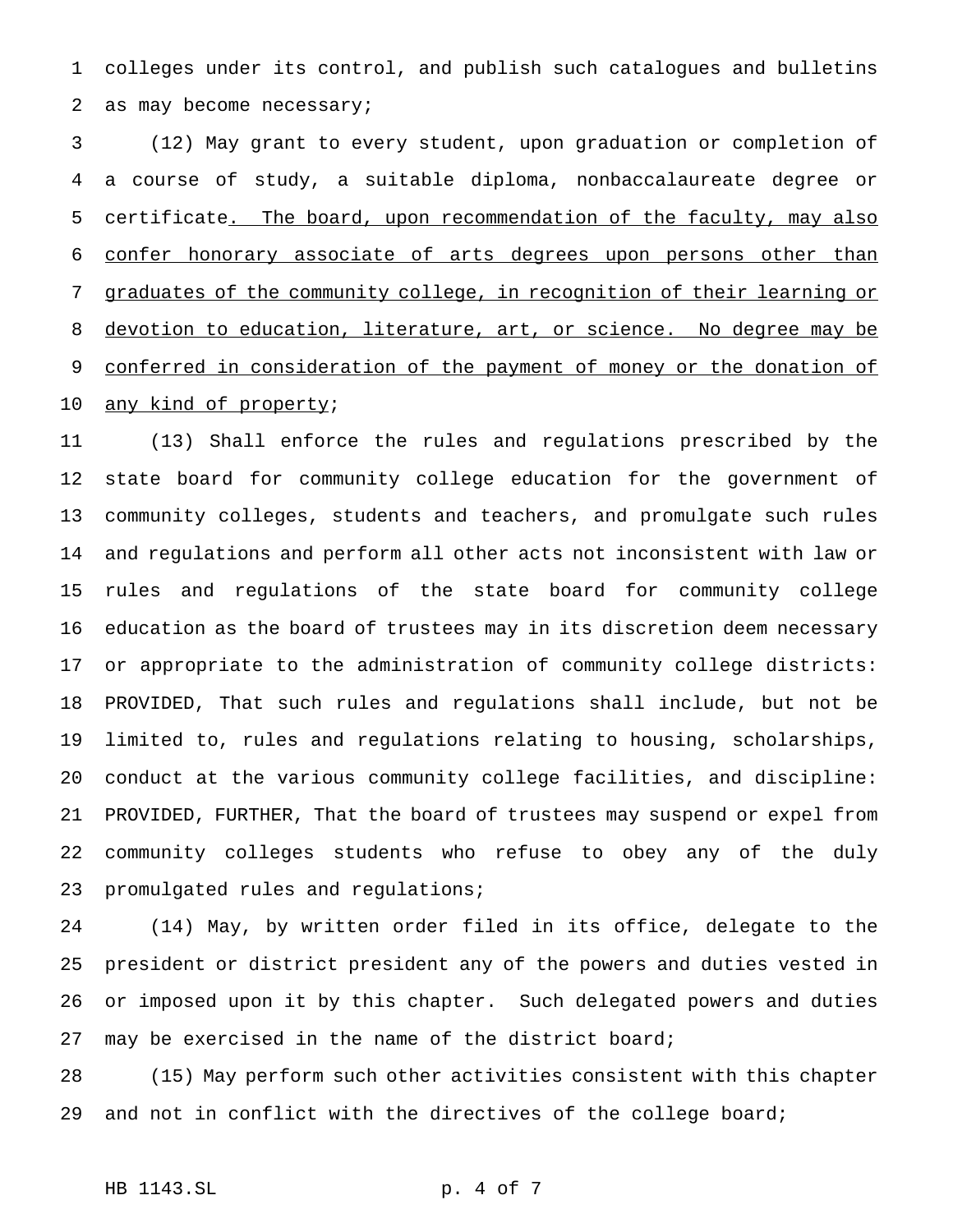colleges under its control, and publish such catalogues and bulletins as may become necessary;

 (12) May grant to every student, upon graduation or completion of a course of study, a suitable diploma, nonbaccalaureate degree or 5 certificate<u>. The board, upon recommendation of the faculty, may also</u> confer honorary associate of arts degrees upon persons other than graduates of the community college, in recognition of their learning or devotion to education, literature, art, or science. No degree may be 9 conferred in consideration of the payment of money or the donation of 10 any kind of property;

 (13) Shall enforce the rules and regulations prescribed by the state board for community college education for the government of community colleges, students and teachers, and promulgate such rules and regulations and perform all other acts not inconsistent with law or rules and regulations of the state board for community college education as the board of trustees may in its discretion deem necessary or appropriate to the administration of community college districts: PROVIDED, That such rules and regulations shall include, but not be limited to, rules and regulations relating to housing, scholarships, conduct at the various community college facilities, and discipline: PROVIDED, FURTHER, That the board of trustees may suspend or expel from community colleges students who refuse to obey any of the duly promulgated rules and regulations;

 (14) May, by written order filed in its office, delegate to the president or district president any of the powers and duties vested in or imposed upon it by this chapter. Such delegated powers and duties may be exercised in the name of the district board;

 (15) May perform such other activities consistent with this chapter and not in conflict with the directives of the college board;

# HB 1143.SL p. 4 of 7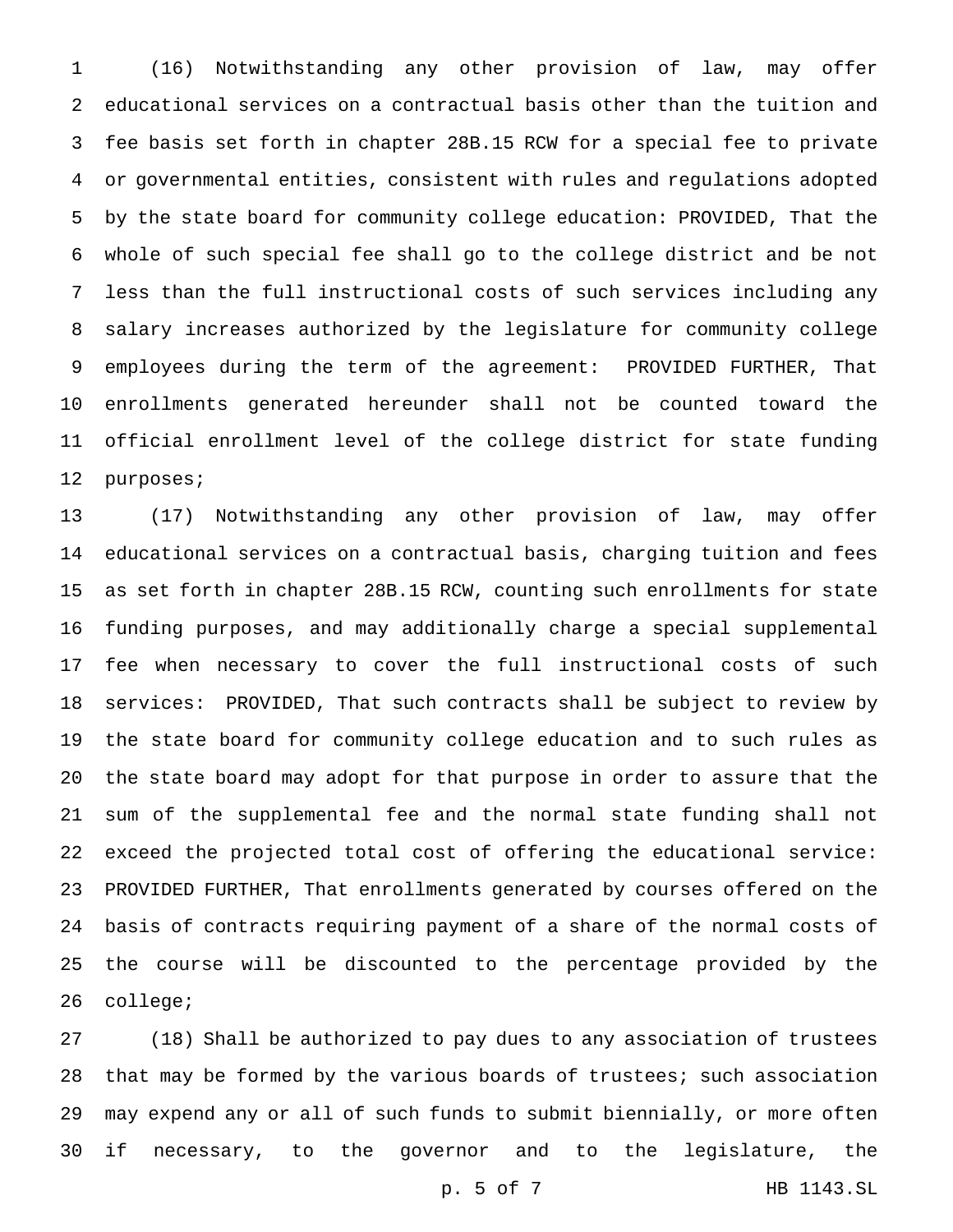(16) Notwithstanding any other provision of law, may offer educational services on a contractual basis other than the tuition and fee basis set forth in chapter 28B.15 RCW for a special fee to private or governmental entities, consistent with rules and regulations adopted by the state board for community college education: PROVIDED, That the whole of such special fee shall go to the college district and be not less than the full instructional costs of such services including any salary increases authorized by the legislature for community college employees during the term of the agreement: PROVIDED FURTHER, That enrollments generated hereunder shall not be counted toward the official enrollment level of the college district for state funding purposes;

 (17) Notwithstanding any other provision of law, may offer educational services on a contractual basis, charging tuition and fees as set forth in chapter 28B.15 RCW, counting such enrollments for state funding purposes, and may additionally charge a special supplemental fee when necessary to cover the full instructional costs of such services: PROVIDED, That such contracts shall be subject to review by the state board for community college education and to such rules as the state board may adopt for that purpose in order to assure that the sum of the supplemental fee and the normal state funding shall not exceed the projected total cost of offering the educational service: PROVIDED FURTHER, That enrollments generated by courses offered on the basis of contracts requiring payment of a share of the normal costs of the course will be discounted to the percentage provided by the college;

 (18) Shall be authorized to pay dues to any association of trustees 28 that may be formed by the various boards of trustees; such association may expend any or all of such funds to submit biennially, or more often if necessary, to the governor and to the legislature, the

p. 5 of 7 HB 1143.SL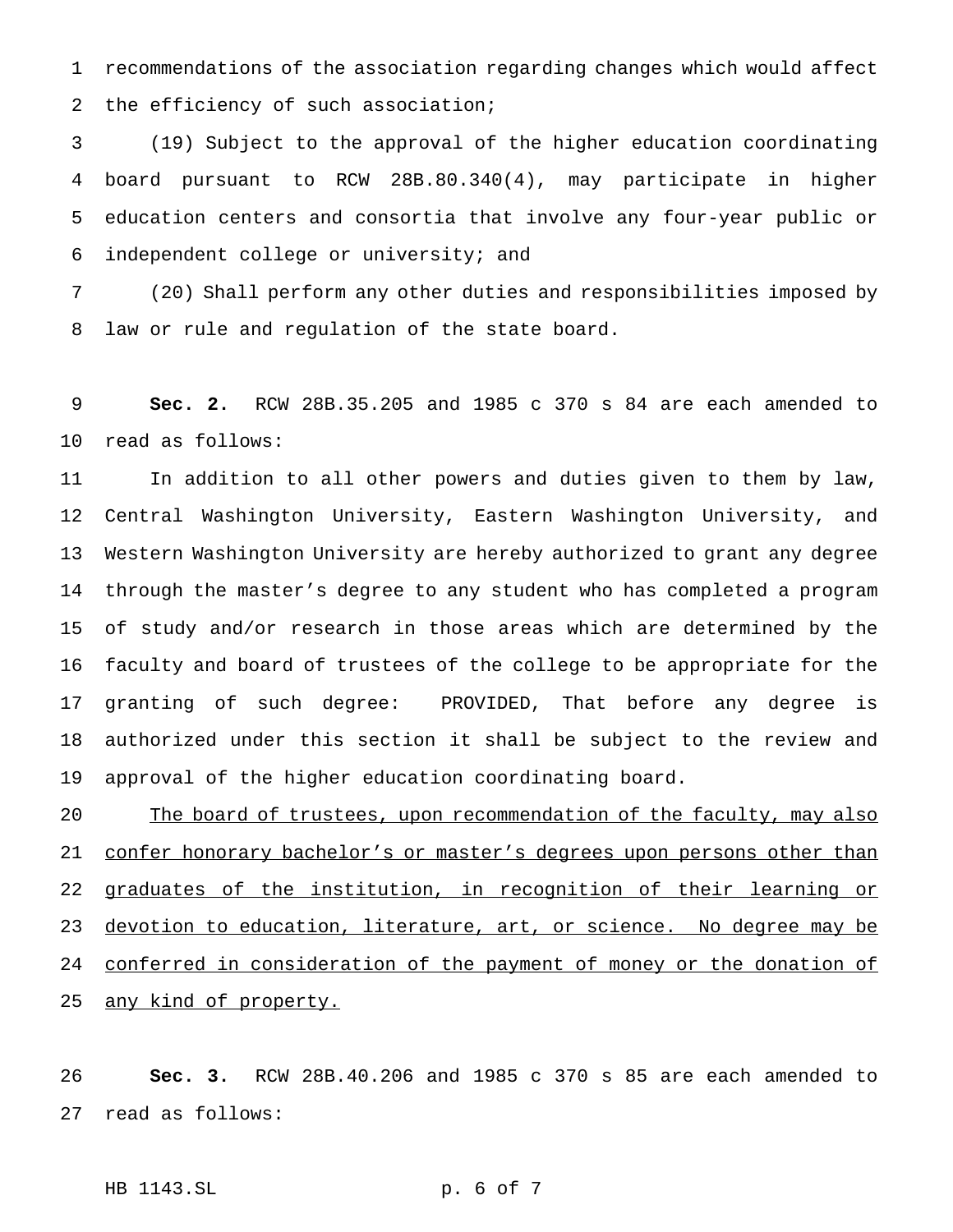recommendations of the association regarding changes which would affect the efficiency of such association;

 (19) Subject to the approval of the higher education coordinating board pursuant to RCW 28B.80.340(4), may participate in higher education centers and consortia that involve any four-year public or independent college or university; and

 (20) Shall perform any other duties and responsibilities imposed by law or rule and regulation of the state board.

 **Sec. 2.** RCW 28B.35.205 and 1985 c 370 s 84 are each amended to read as follows:

 In addition to all other powers and duties given to them by law, Central Washington University, Eastern Washington University, and Western Washington University are hereby authorized to grant any degree through the master's degree to any student who has completed a program of study and/or research in those areas which are determined by the faculty and board of trustees of the college to be appropriate for the granting of such degree: PROVIDED, That before any degree is authorized under this section it shall be subject to the review and approval of the higher education coordinating board.

20 The board of trustees, upon recommendation of the faculty, may also 21 confer honorary bachelor's or master's degrees upon persons other than 22 graduates of the institution, in recognition of their learning or 23 devotion to education, literature, art, or science. No degree may be 24 conferred in consideration of the payment of money or the donation of 25 any kind of property.

 **Sec. 3.** RCW 28B.40.206 and 1985 c 370 s 85 are each amended to read as follows:

HB 1143.SL p. 6 of 7